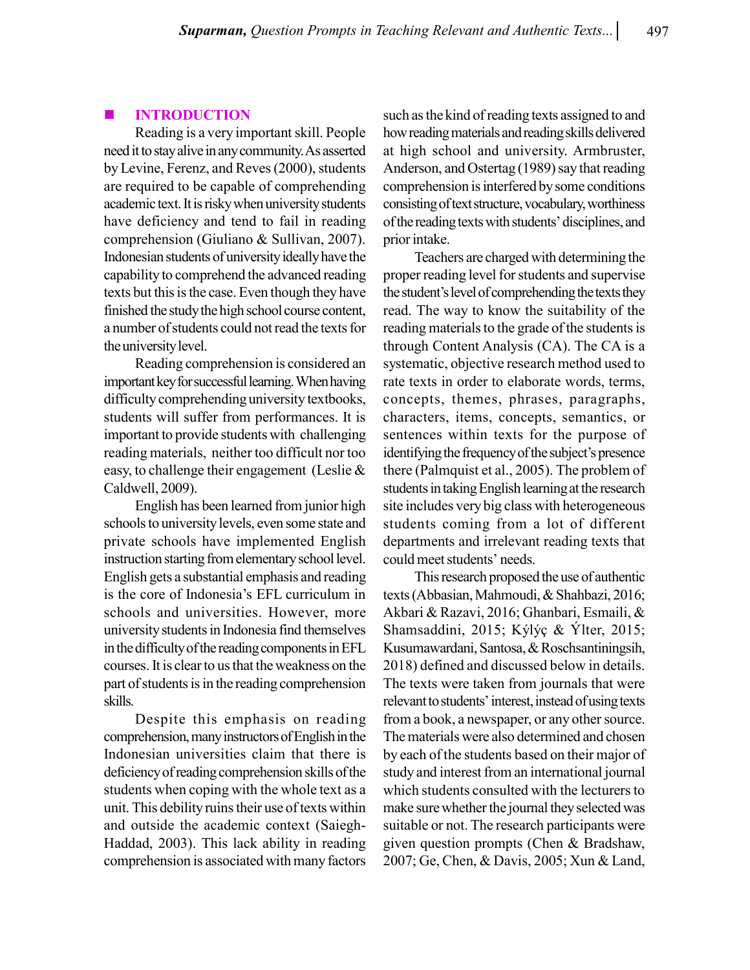# INTRODUCTION

Reading is a very important skill. People need it to stay alive in any community. As asserted by Levine, Ferenz, and Reves (2000), students are required to be capable of comprehending academic text. It is risky when university students have deficiency and tend to fail in reading comprehension (Giuliano & Sullivan, 2007). Indonesian students of university ideally have the capability to comprehend the advanced reading texts but this is the case. Even though they have finished the study the high school course content, a number of students could not read the texts for the university level.

Reading comprehension is considered an important key for successful learning. When having difficulty comprehending university textbooks, students will suffer from performances. It is important to provide students with challenging reading materials, neither too difficult nor too easy, to challenge their engagement (Leslie & Caldwell, 2009).

English has been learned from junior high schools to university levels, even some state and private schools have implemented English instruction starting from elementary school level. English gets a substantial emphasis and reading is the core of Indonesia's EFL curriculum in schools and universities. However, more university students in Indonesia find themselves in the difficulty of the reading components in EFL courses. It is clear to us that the weakness on the part of students is in the reading comprehension skills.

Despite this emphasis on reading comprehension, many instructors of English in the Indonesian universities claim that there is deficiency of reading comprehension skills of the students when coping with the whole text as a unit. This debility ruins their use of texts within and outside the academic context (Saiegh-Haddad, 2003). This lack ability in reading comprehension is associated with many factors

such as the kind of reading texts assigned to and how reading materials and reading skills delivered at high school and university. Armbruster, Anderson, and Ostertag (1989) say that reading comprehension is interfered by some conditions consisting of text structure, vocabulary, worthiness of the reading texts with students' disciplines, and prior intake.

Teachers are charged with determining the proper reading level for students and supervise the student's level of comprehending the texts they read. The way to know the suitability of the reading materials to the grade of the students is through Content Analysis (CA). The CA is a systematic, objective research method used to rate texts in order to elaborate words, terms, concepts, themes, phrases, paragraphs, characters, items, concepts, semantics, or sentences within texts for the purpose of identifying the frequency of the subject's presence there (Palmquist et al., 2005). The problem of students in taking English learning at the research site includes very big class with heterogeneous students coming from a lot of different departments and irrelevant reading texts that could meet students' needs.

This research proposed the use of authentic texts (Abbasian, Mahmoudi, & Shahbazi, 2016; Akbari & Razavi, 2016; Ghanbari, Esmaili, & Shamsaddini, 2015; Kýlýç & Ýlter, 2015; Kusumawardani, Santosa, & Roschsantiningsih, 2018) defined and discussed below in details. The texts were taken from journals that were relevant to students' interest, instead of using texts from a book, a newspaper, or any other source. The materials were also determined and chosen by each of the students based on their major of study and interest from an international journal which students consulted with the lecturers to make sure whether the journal they selected was suitable or not. The research participants were given question prompts (Chen & Bradshaw, 2007; Ge, Chen, & Davis, 2005; Xun & Land,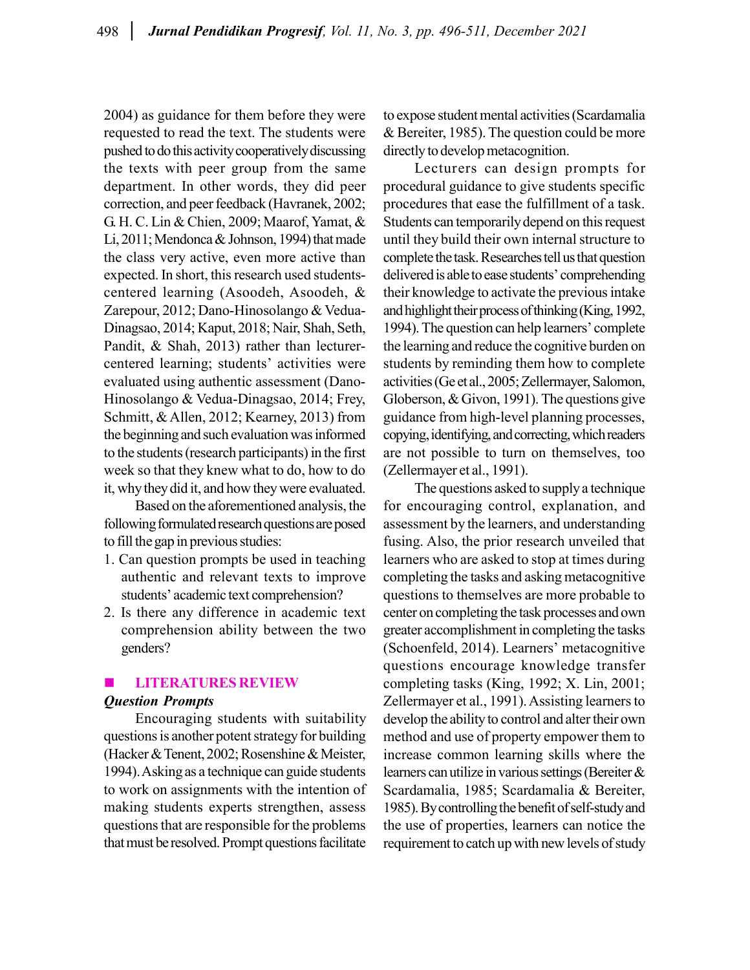2004) as guidance for them before they were requested to read the text. The students were pushed to do this activity cooperatively discussing the texts with peer group from the same department. In other words, they did peer correction, and peer feedback (Havranek, 2002; G. H. C. Lin & Chien, 2009; Maarof, Yamat, & Li, 2011; Mendonca & Johnson, 1994) that made the class very active, even more active than expected. In short, this research used studentscentered learning (Asoodeh, Asoodeh, & Zarepour, 2012; Dano-Hinosolango & Vedua-Dinagsao, 2014; Kaput, 2018; Nair, Shah, Seth, Pandit, & Shah, 2013) rather than lecturercentered learning; students' activities were evaluated using authentic assessment (Dano-Hinosolango & Vedua-Dinagsao, 2014; Frey, Schmitt, & Allen, 2012; Kearney, 2013) from the beginning and such evaluation was informed to the students (research participants) in the first week so that they knew what to do, how to do it, why they did it, and how they were evaluated.

Based on the aforementioned analysis, the following formulated research questions are posed to fill the gap in previous studies:

- 1. Can question prompts be used in teaching authentic and relevant texts to improve students' academic text comprehension?
- 2. Is there any difference in academic text comprehension ability between the two genders?

# LITERATURES REVIEW Question Prompts

Encouraging students with suitability questions is another potent strategy for building (Hacker & Tenent, 2002; Rosenshine & Meister, 1994). Asking as a technique can guide students to work on assignments with the intention of making students experts strengthen, assess questions that are responsible for the problems that must be resolved. Prompt questions facilitate

to expose student mental activities (Scardamalia & Bereiter, 1985). The question could be more directly to develop metacognition.

Lecturers can design prompts for procedural guidance to give students specific procedures that ease the fulfillment of a task. Students can temporarily depend on this request until they build their own internal structure to complete the task. Researches tell us that question delivered is able to ease students' comprehending their knowledge to activate the previous intake and highlight their process of thinking (King, 1992, 1994). The question can help learners' complete the learning and reduce the cognitive burden on students by reminding them how to complete activities (Ge et al., 2005; Zellermayer, Salomon, Globerson, & Givon, 1991). The questions give guidance from high-level planning processes, copying, identifying, and correcting, which readers are not possible to turn on themselves, too (Zellermayer et al., 1991).

The questions asked to supply a technique for encouraging control, explanation, and assessment by the learners, and understanding fusing. Also, the prior research unveiled that learners who are asked to stop at times during completing the tasks and asking metacognitive questions to themselves are more probable to center on completing the task processes and own greater accomplishment in completing the tasks (Schoenfeld, 2014). Learners' metacognitive questions encourage knowledge transfer completing tasks (King, 1992; X. Lin, 2001; Zellermayer et al., 1991). Assisting learners to develop the ability to control and alter their own method and use of property empower them to increase common learning skills where the learners can utilize in various settings (Bereiter & Scardamalia, 1985; Scardamalia & Bereiter, 1985). By controlling the benefit of self-study and the use of properties, learners can notice the requirement to catch up with new levels of study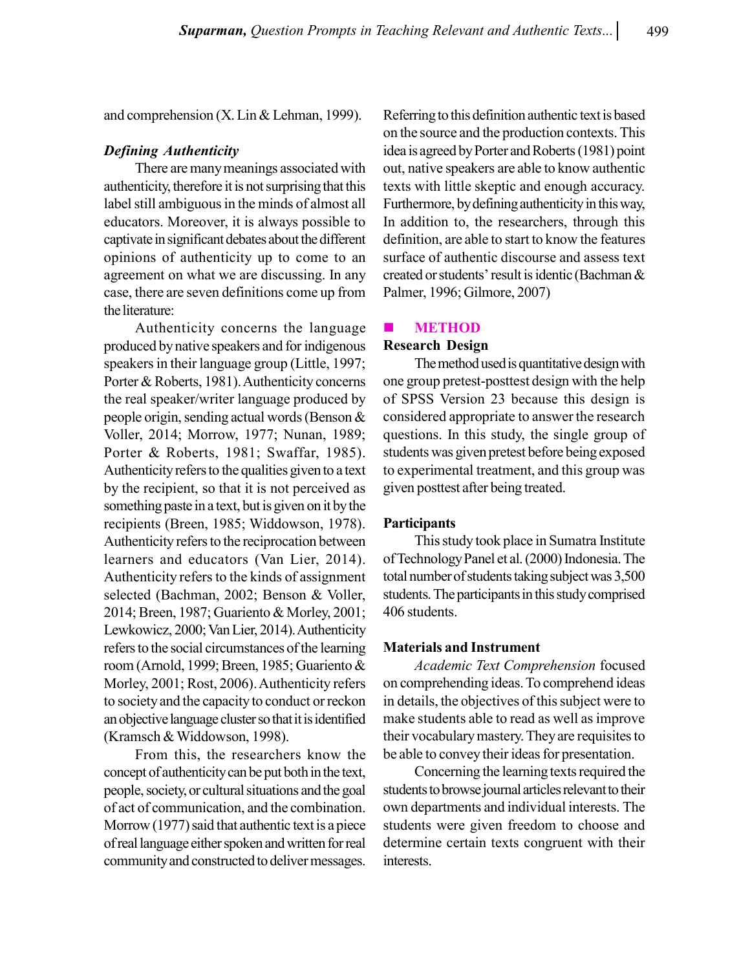and comprehension (X. Lin & Lehman, 1999).

# Defining Authenticity

There are many meanings associated with authenticity, therefore it is not surprising that this label still ambiguous in the minds of almost all educators. Moreover, it is always possible to captivate in significant debates about the different opinions of authenticity up to come to an agreement on what we are discussing. In any case, there are seven definitions come up from the literature:

Authenticity concerns the language produced by native speakers and for indigenous speakers in their language group (Little, 1997; Porter & Roberts, 1981). Authenticity concerns the real speaker/writer language produced by people origin, sending actual words (Benson & Voller, 2014; Morrow, 1977; Nunan, 1989; Porter & Roberts, 1981; Swaffar, 1985). Authenticity refers to the qualities given to a text by the recipient, so that it is not perceived as something paste in a text, but is given on it by the recipients (Breen, 1985; Widdowson, 1978). Authenticity refers to the reciprocation between learners and educators (Van Lier, 2014). Authenticity refers to the kinds of assignment selected (Bachman, 2002; Benson & Voller, 2014; Breen, 1987; Guariento & Morley, 2001; Lewkowicz, 2000; Van Lier, 2014). Authenticity refers to the social circumstances of the learning room (Arnold, 1999; Breen, 1985; Guariento & Morley, 2001; Rost, 2006). Authenticity refers to society and the capacity to conduct or reckon an objective language cluster so that it is identified (Kramsch & Widdowson, 1998).

From this, the researchers know the concept of authenticity can be put both in the text, people, society, or cultural situations and the goal of act of communication, and the combination. Morrow (1977) said that authentic text is a piece of real language either spoken and written for real community and constructed to deliver messages.

Referring to this definition authentic text is based on the source and the production contexts. This idea is agreed by Porter and Roberts (1981) point out, native speakers are able to know authentic texts with little skeptic and enough accuracy. Furthermore, by defining authenticity in this way, In addition to, the researchers, through this definition, are able to start to know the features surface of authentic discourse and assess text created or students' result is identic (Bachman & Palmer, 1996; Gilmore, 2007)

#### **ENETHOD**

# Research Design

The method used is quantitative design with one group pretest-posttest design with the help of SPSS Version 23 because this design is considered appropriate to answer the research questions. In this study, the single group of students was given pretest before being exposed to experimental treatment, and this group was given posttest after being treated.

#### **Participants**

This study took place in Sumatra Institute of Technology Panel et al. (2000) Indonesia. The total number of students taking subject was 3,500 students. The participants in this study comprised 406 students.

#### Materials and Instrument

Academic Text Comprehension focused on comprehending ideas. To comprehend ideas in details, the objectives of this subject were to make students able to read as well as improve their vocabulary mastery. They are requisites to be able to convey their ideas for presentation.

Concerning the learning texts required the students to browse journal articles relevant to their own departments and individual interests. The students were given freedom to choose and determine certain texts congruent with their interests.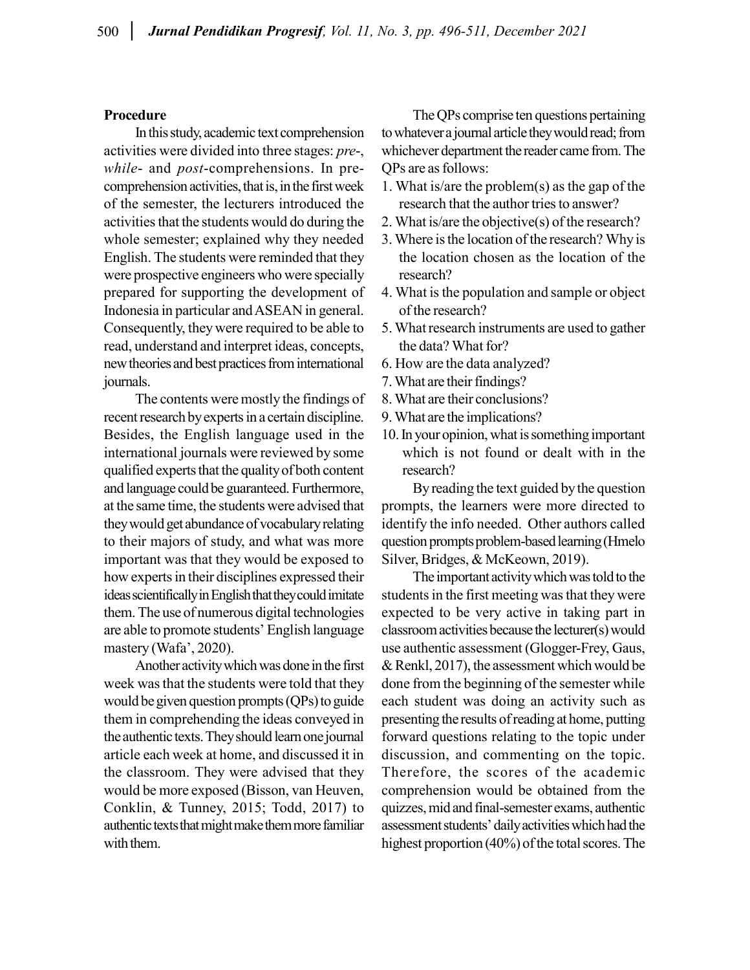# Procedure

In this study, academic text comprehension activities were divided into three stages: pre-, while- and *post*-comprehensions. In precomprehension activities, that is, in the first week of the semester, the lecturers introduced the activities that the students would do during the whole semester; explained why they needed English. The students were reminded that they were prospective engineers who were specially prepared for supporting the development of Indonesia in particular and ASEAN in general. Consequently, they were required to be able to read, understand and interpret ideas, concepts, new theories and best practices from international journals.

The contents were mostly the findings of recent research by experts in a certain discipline. Besides, the English language used in the international journals were reviewed by some qualified experts that the quality of both content and language could be guaranteed. Furthermore, at the same time, the students were advised that they would get abundance of vocabulary relating to their majors of study, and what was more important was that they would be exposed to how experts in their disciplines expressed their ideas scientifically in English that they could imitate them. The use of numerous digital technologies are able to promote students' English language mastery (Wafa', 2020).

Another activity which was done in the first week was that the students were told that they would be given question prompts (QPs) to guide them in comprehending the ideas conveyed in the authentic texts. They should learn one journal article each week at home, and discussed it in the classroom. They were advised that they would be more exposed (Bisson, van Heuven, Conklin, & Tunney, 2015; Todd, 2017) to authentic texts that might make them more familiar with them.

The QPs comprise ten questions pertaining to whatever a journal article they would read; from whichever department the reader came from. The QPs are as follows:

- 1. What is/are the problem(s) as the gap of the research that the author tries to answer?
- 2. What is/are the objective(s) of the research?
- 3. Where is the location of the research? Why is the location chosen as the location of the research?
- 4. What is the population and sample or object of the research?
- 5. What research instruments are used to gather the data? What for?
- 6. How are the data analyzed?
- 7. What are their findings?
- 8. What are their conclusions?
- 9. What are the implications?
- 10. In your opinion, what is something important which is not found or dealt with in the research?

By reading the text guided by the question prompts, the learners were more directed to identify the info needed. Other authors called question prompts problem-based learning (Hmelo Silver, Bridges, & McKeown, 2019).

The important activity which was told to the students in the first meeting was that they were expected to be very active in taking part in classroom activities because the lecturer(s) would use authentic assessment (Glogger-Frey, Gaus, & Renkl, 2017), the assessment which would be done from the beginning of the semester while each student was doing an activity such as presenting the results of reading at home, putting forward questions relating to the topic under discussion, and commenting on the topic. Therefore, the scores of the academic comprehension would be obtained from the quizzes, mid and final-semester exams, authentic assessment students' daily activities which had the highest proportion (40%) of the total scores. The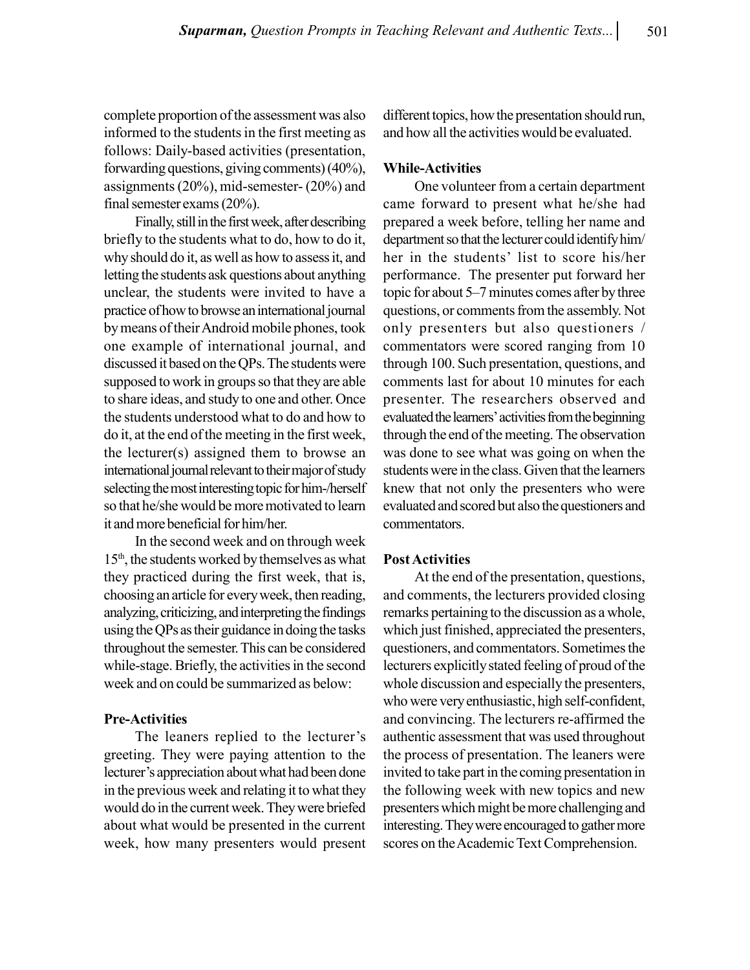complete proportion of the assessment was also informed to the students in the first meeting as follows: Daily-based activities (presentation, forwarding questions, giving comments) (40%), assignments (20%), mid-semester- (20%) and final semester exams (20%).

Finally, still in the first week, after describing briefly to the students what to do, how to do it, why should do it, as well as how to assess it, and letting the students ask questions about anything unclear, the students were invited to have a practice of how to browse an international journal by means of their Android mobile phones, took one example of international journal, and discussed it based on the QPs. The students were supposed to work in groups so that they are able to share ideas, and study to one and other. Once the students understood what to do and how to do it, at the end of the meeting in the first week, the lecturer(s) assigned them to browse an international journal relevant to their major of study selecting the most interesting topic for him-/herself so that he/she would be more motivated to learn it and more beneficial for him/her.

In the second week and on through week 15th, the students worked by themselves as what they practiced during the first week, that is, choosing an article for every week, then reading, analyzing, criticizing, and interpreting the findings using the QPs as their guidance in doing the tasks throughout the semester. This can be considered while-stage. Briefly, the activities in the second week and on could be summarized as below:

## Pre-Activities

The leaners replied to the lecturer's greeting. They were paying attention to the lecturer's appreciation about what had been done in the previous week and relating it to what they would do in the current week. They were briefed about what would be presented in the current week, how many presenters would present different topics, how the presentation should run, and how all the activities would be evaluated.

# While-Activities

One volunteer from a certain department came forward to present what he/she had prepared a week before, telling her name and department so that the lecturer could identify him/ her in the students' list to score his/her performance. The presenter put forward her topic for about 5–7 minutes comes after by three questions, or comments from the assembly. Not only presenters but also questioners / commentators were scored ranging from 10 through 100. Such presentation, questions, and comments last for about 10 minutes for each presenter. The researchers observed and evaluated the learners' activities from the beginning through the end of the meeting. The observation was done to see what was going on when the students were in the class. Given that the learners knew that not only the presenters who were evaluated and scored but also the questioners and commentators.

# Post Activities

At the end of the presentation, questions, and comments, the lecturers provided closing remarks pertaining to the discussion as a whole, which just finished, appreciated the presenters, questioners, and commentators. Sometimes the lecturers explicitly stated feeling of proud of the whole discussion and especially the presenters, who were very enthusiastic, high self-confident, and convincing. The lecturers re-affirmed the authentic assessment that was used throughout the process of presentation. The leaners were invited to take part in the coming presentation in the following week with new topics and new presenters which might be more challenging and interesting. They were encouraged to gather more scores on the Academic Text Comprehension.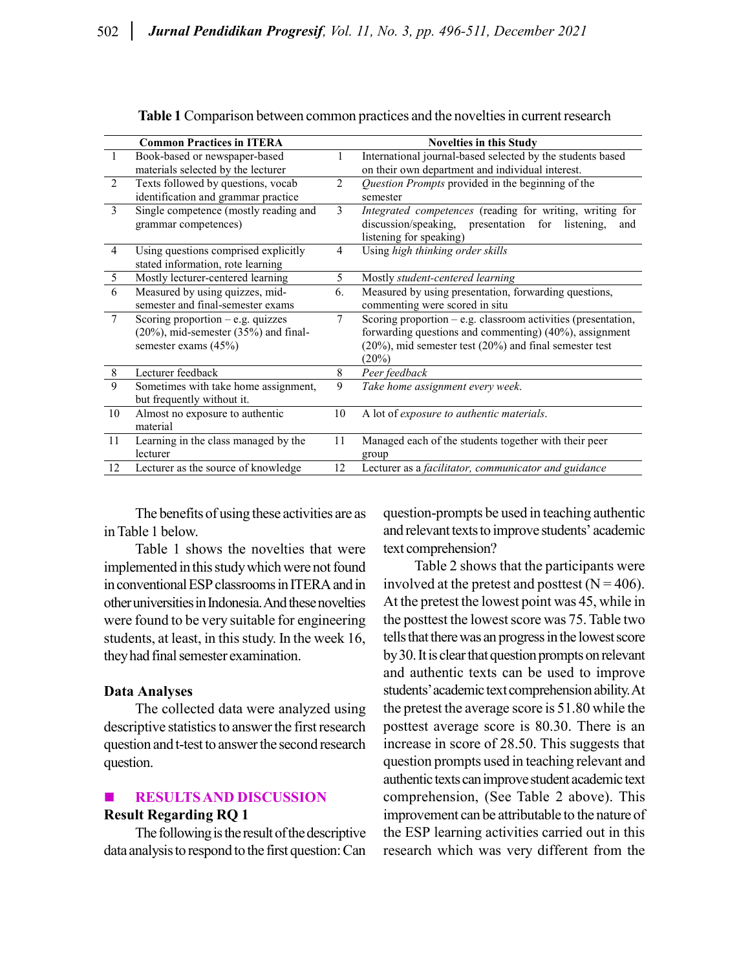|                               | <b>Common Practices in ITERA</b>            |        | <b>Novelties in this Study</b>                                |
|-------------------------------|---------------------------------------------|--------|---------------------------------------------------------------|
| Book-based or newspaper-based |                                             |        | International journal-based selected by the students based    |
|                               | materials selected by the lecturer          |        | on their own department and individual interest.              |
| 2                             | Texts followed by questions, vocab          | 2      | Question Prompts provided in the beginning of the             |
|                               | identification and grammar practice         |        | semester                                                      |
| 3                             | Single competence (mostly reading and       | 3      | Integrated competences (reading for writing, writing for      |
|                               | grammar competences)                        |        | discussion/speaking, presentation for listening,<br>and       |
|                               |                                             |        | listening for speaking)                                       |
| 4                             | Using questions comprised explicitly        | 4      | Using high thinking order skills                              |
|                               | stated information, rote learning           |        |                                                               |
| 5                             | Mostly lecturer-centered learning           | 5      | Mostly student-centered learning                              |
| 6                             | Measured by using quizzes, mid-             | 6.     | Measured by using presentation, forwarding questions,         |
|                               | semester and final-semester exams           |        | commenting were scored in situ                                |
| $\tau$                        | Scoring proportion $-$ e.g. quizzes         | $\tau$ | Scoring proportion - e.g. classroom activities (presentation, |
|                               | $(20\%)$ , mid-semester $(35\%)$ and final- |        | forwarding questions and commenting) (40%), assignment        |
|                               | semester exams $(45%)$                      |        | (20%), mid semester test (20%) and final semester test        |
|                               |                                             |        | $(20\%)$                                                      |
| 8                             | Lecturer feedback                           | 8      | Peer feedback                                                 |
| 9                             | Sometimes with take home assignment,        | 9      | Take home assignment every week.                              |
|                               | but frequently without it.                  |        |                                                               |
| 10                            | Almost no exposure to authentic             | 10     | A lot of exposure to authentic materials.                     |
|                               | material                                    |        |                                                               |
| 11                            | Learning in the class managed by the        | 11     | Managed each of the students together with their peer         |
|                               | lecturer                                    |        | group                                                         |
| 12                            | Lecturer as the source of knowledge         | 12     | Lecturer as a facilitator, communicator and guidance          |

Table 1 Comparison between common practices and the novelties in current research

The benefits of using these activities are as in Table 1 below.

Table 1 shows the novelties that were implemented in this study which were not found in conventional ESP classrooms in ITERA and in other universities in Indonesia. And these novelties were found to be very suitable for engineering students, at least, in this study. In the week 16, they had final semester examination.

## Data Analyses

The collected data were analyzed using descriptive statistics to answer the first research question and t-test to answer the second research question.

# RESULTS AND DISCUSSION Result Regarding RQ 1

The following is the result of the descriptive data analysis to respond to the first question: Can

question-prompts be used in teaching authentic and relevant texts to improve students' academic text comprehension?

Table 2 shows that the participants were involved at the pretest and posttest  $(N = 406)$ . At the pretest the lowest point was 45, while in the posttest the lowest score was 75. Table two tells that there was an progress in the lowest score by 30. It is clear that question prompts on relevant and authentic texts can be used to improve students' academic text comprehension ability. At the pretest the average score is 51.80 while the posttest average score is 80.30. There is an increase in score of 28.50. This suggests that question prompts used in teaching relevant and authentic texts can improve student academic text comprehension, (See Table 2 above). This improvement can be attributable to the nature of the ESP learning activities carried out in this research which was very different from the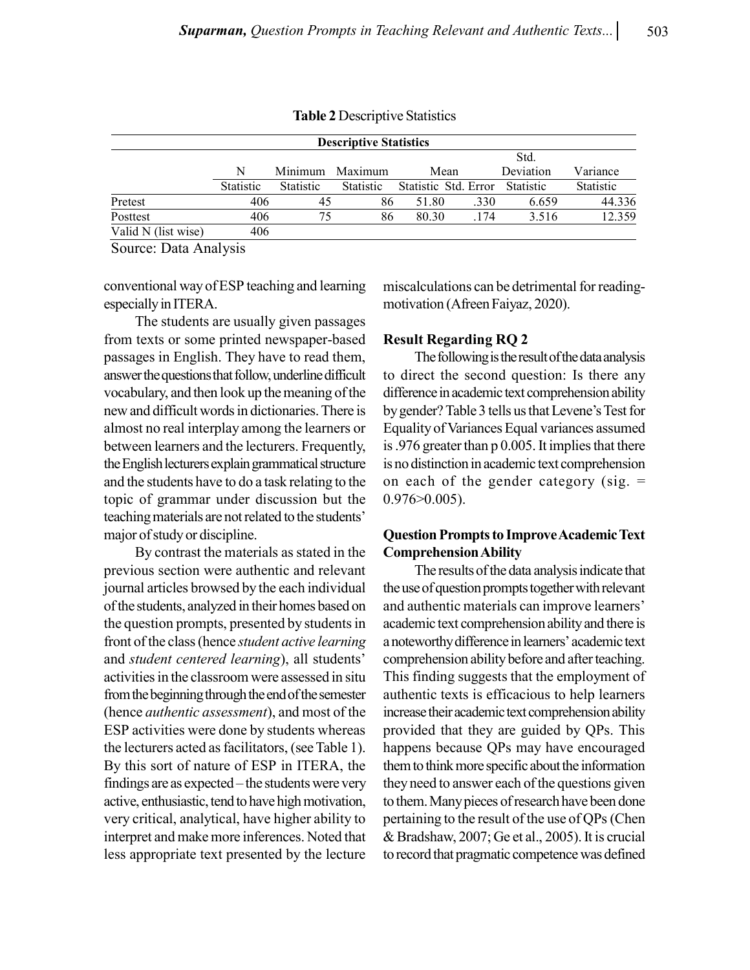| <b>Descriptive Statistics</b> |              |           |           |                      |      |           |           |  |  |  |
|-------------------------------|--------------|-----------|-----------|----------------------|------|-----------|-----------|--|--|--|
|                               |              |           |           | Std.                 |      |           |           |  |  |  |
|                               | Minimum<br>N |           | Maximum   | Mean                 |      | Deviation | Variance  |  |  |  |
|                               | Statistic    | Statistic | Statistic | Statistic Std. Error |      | Statistic | Statistic |  |  |  |
| Pretest                       | 406          | 45        | 86        | 51.80                | .330 | 6.659     | 44.336    |  |  |  |
| Posttest                      | 406          | 75        | 86        | 80.30                | .174 | 3.516     | 12.359    |  |  |  |
| Valid N (list wise)           | 406          |           |           |                      |      |           |           |  |  |  |

Table 2 Descriptive Statistics

Source: Data Analysis

conventional way of ESP teaching and learning especially in ITERA.

The students are usually given passages from texts or some printed newspaper-based passages in English. They have to read them, answer the questions that follow, underline difficult vocabulary, and then look up the meaning of the new and difficult words in dictionaries. There is almost no real interplay among the learners or between learners and the lecturers. Frequently, the English lecturers explain grammatical structure and the students have to do a task relating to the topic of grammar under discussion but the teaching materials are not related to the students' major of study or discipline.

By contrast the materials as stated in the previous section were authentic and relevant journal articles browsed by the each individual of the students, analyzed in their homes based on the question prompts, presented by students in front of the class (hence student active learning and student centered learning), all students' activities in the classroom were assessed in situ from the beginning through the end of the semester (hence authentic assessment), and most of the ESP activities were done by students whereas the lecturers acted as facilitators, (see Table 1). By this sort of nature of ESP in ITERA, the findings are as expected – the students were very active, enthusiastic, tend to have high motivation, very critical, analytical, have higher ability to interpret and make more inferences. Noted that less appropriate text presented by the lecture

miscalculations can be detrimental for readingmotivation (Afreen Faiyaz, 2020).

## Result Regarding RQ 2

The following is the result of the data analysis to direct the second question: Is there any difference in academic text comprehension ability by gender? Table 3 tells us that Levene's Test for Equality of Variances Equal variances assumed is .976 greater than p 0.005. It implies that there is no distinction in academic text comprehension on each of the gender category (sig.  $=$ 0.976>0.005).

# Question Prompts to Improve Academic Text Comprehension Ability

The results of the data analysis indicate that the use of question prompts together with relevant and authentic materials can improve learners' academic text comprehension ability and there is a noteworthy difference in learners' academic text comprehension ability before and after teaching. This finding suggests that the employment of authentic texts is efficacious to help learners increase their academic text comprehension ability provided that they are guided by QPs. This happens because QPs may have encouraged them to think more specific about the information they need to answer each of the questions given to them. Many pieces of research have been done pertaining to the result of the use of QPs (Chen & Bradshaw, 2007; Ge et al., 2005). It is crucial to record that pragmatic competence was defined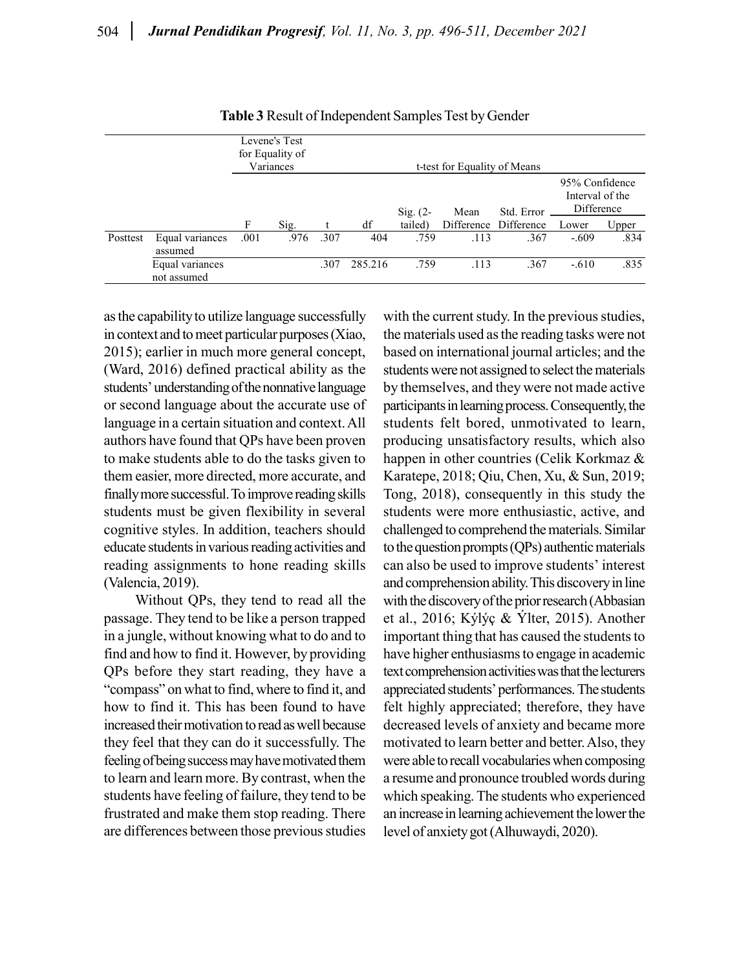|          |                                |      | Levene's Test<br>for Equality of<br>Variances |      | t-test for Equality of Means |            |      |                       |                                                 |       |  |  |
|----------|--------------------------------|------|-----------------------------------------------|------|------------------------------|------------|------|-----------------------|-------------------------------------------------|-------|--|--|
|          |                                |      |                                               |      |                              | Sig. $(2-$ | Mean | Std. Error            | 95% Confidence<br>Interval of the<br>Difference |       |  |  |
|          |                                | F    | Sig.                                          |      | df                           | tailed)    |      | Difference Difference | Lower                                           | Upper |  |  |
| Posttest | Equal variances<br>assumed     | .001 | .976                                          | .307 | 404                          | .759       | .113 | .367                  | $-.609$                                         | .834  |  |  |
|          | Equal variances<br>not assumed |      |                                               | .307 | 285.216                      | .759       | .113 | .367                  | $-.610$                                         | .835  |  |  |

Table 3 Result of Independent Samples Test by Gender

as the capability to utilize language successfully in context and to meet particular purposes (Xiao, 2015); earlier in much more general concept, (Ward, 2016) defined practical ability as the students' understanding of the nonnative language or second language about the accurate use of language in a certain situation and context. All authors have found that QPs have been proven to make students able to do the tasks given to them easier, more directed, more accurate, and finally more successful. To improve reading skills students must be given flexibility in several cognitive styles. In addition, teachers should educate students in various reading activities and reading assignments to hone reading skills (Valencia, 2019).

Without QPs, they tend to read all the passage. They tend to be like a person trapped in a jungle, without knowing what to do and to find and how to find it. However, by providing QPs before they start reading, they have a "compass" on what to find, where to find it, and how to find it. This has been found to have increased their motivation to read as well because they feel that they can do it successfully. The feeling of being success may have motivated them to learn and learn more. By contrast, when the students have feeling of failure, they tend to be frustrated and make them stop reading. There are differences between those previous studies

with the current study. In the previous studies, the materials used as the reading tasks were not based on international journal articles; and the students were not assigned to select the materials by themselves, and they were not made active participants in learning process. Consequently, the students felt bored, unmotivated to learn, producing unsatisfactory results, which also happen in other countries (Celik Korkmaz & Karatepe, 2018; Qiu, Chen, Xu, & Sun, 2019; Tong, 2018), consequently in this study the students were more enthusiastic, active, and challenged to comprehend the materials. Similar to the question prompts (QPs) authentic materials can also be used to improve students' interest and comprehension ability. This discovery in line with the discovery of the prior research (Abbasian et al., 2016; Kýlýç & Ýlter, 2015). Another important thing that has caused the students to have higher enthusiasms to engage in academic text comprehension activities was that the lecturers appreciated students' performances. The students felt highly appreciated; therefore, they have decreased levels of anxiety and became more motivated to learn better and better. Also, they were able to recall vocabularies when composing a resume and pronounce troubled words during which speaking. The students who experienced an increase in learning achievement the lower the level of anxiety got (Alhuwaydi, 2020).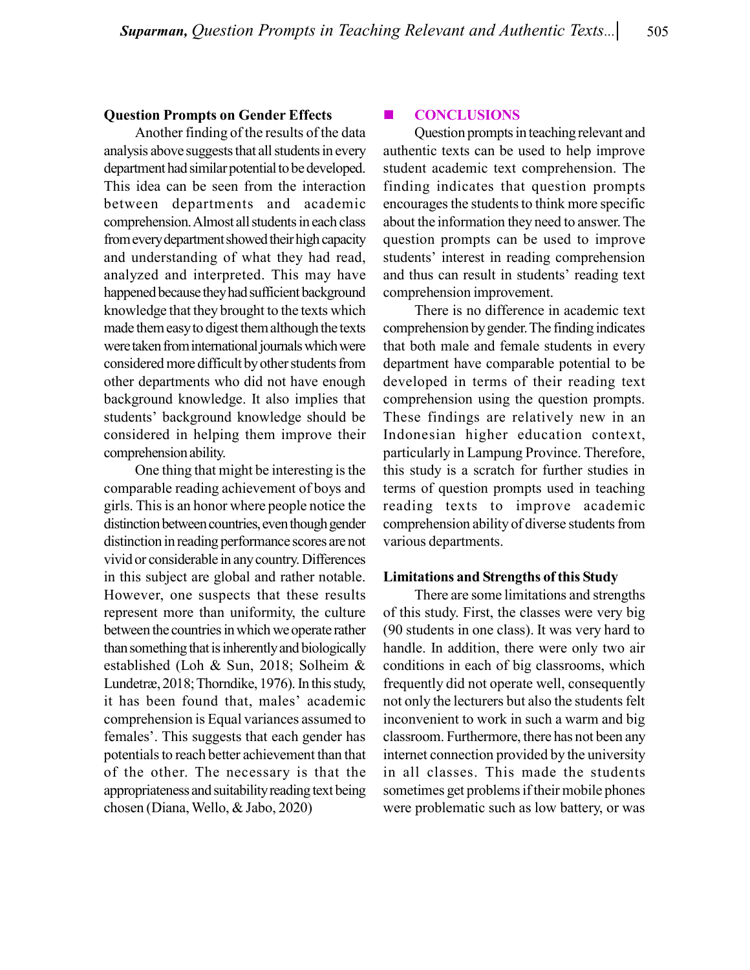#### Question Prompts on Gender Effects

Another finding of the results of the data analysis above suggests that all students in every department had similar potential to be developed. This idea can be seen from the interaction between departments and academic comprehension. Almost all students in each class from every department showed their high capacity and understanding of what they had read, analyzed and interpreted. This may have happened because they had sufficient background knowledge that they brought to the texts which made them easy to digest them although the texts were taken from international journals which were considered more difficult by other students from other departments who did not have enough background knowledge. It also implies that students' background knowledge should be considered in helping them improve their comprehension ability.

One thing that might be interesting is the comparable reading achievement of boys and girls. This is an honor where people notice the distinction between countries, even though gender distinction in reading performance scores are not vivid or considerable in any country. Differences in this subject are global and rather notable. However, one suspects that these results represent more than uniformity, the culture between the countries in which we operate rather than something that is inherently and biologically established (Loh & Sun, 2018; Solheim & Lundetræ, 2018; Thorndike, 1976). In this study, it has been found that, males' academic comprehension is Equal variances assumed to females'. This suggests that each gender has potentials to reach better achievement than that of the other. The necessary is that the appropriateness and suitability reading text being chosen (Diana, Wello, & Jabo, 2020)

#### **E** CONCLUSIONS

Question prompts in teaching relevant and authentic texts can be used to help improve student academic text comprehension. The finding indicates that question prompts encourages the students to think more specific about the information they need to answer. The question prompts can be used to improve students' interest in reading comprehension and thus can result in students' reading text comprehension improvement.

There is no difference in academic text comprehension by gender. The finding indicates that both male and female students in every department have comparable potential to be developed in terms of their reading text comprehension using the question prompts. These findings are relatively new in an Indonesian higher education context, particularly in Lampung Province. Therefore, this study is a scratch for further studies in terms of question prompts used in teaching reading texts to improve academic comprehension ability of diverse students from various departments.

#### Limitations and Strengths of this Study

There are some limitations and strengths of this study. First, the classes were very big (90 students in one class). It was very hard to handle. In addition, there were only two air conditions in each of big classrooms, which frequently did not operate well, consequently not only the lecturers but also the students felt inconvenient to work in such a warm and big classroom. Furthermore, there has not been any internet connection provided by the university in all classes. This made the students sometimes get problems if their mobile phones were problematic such as low battery, or was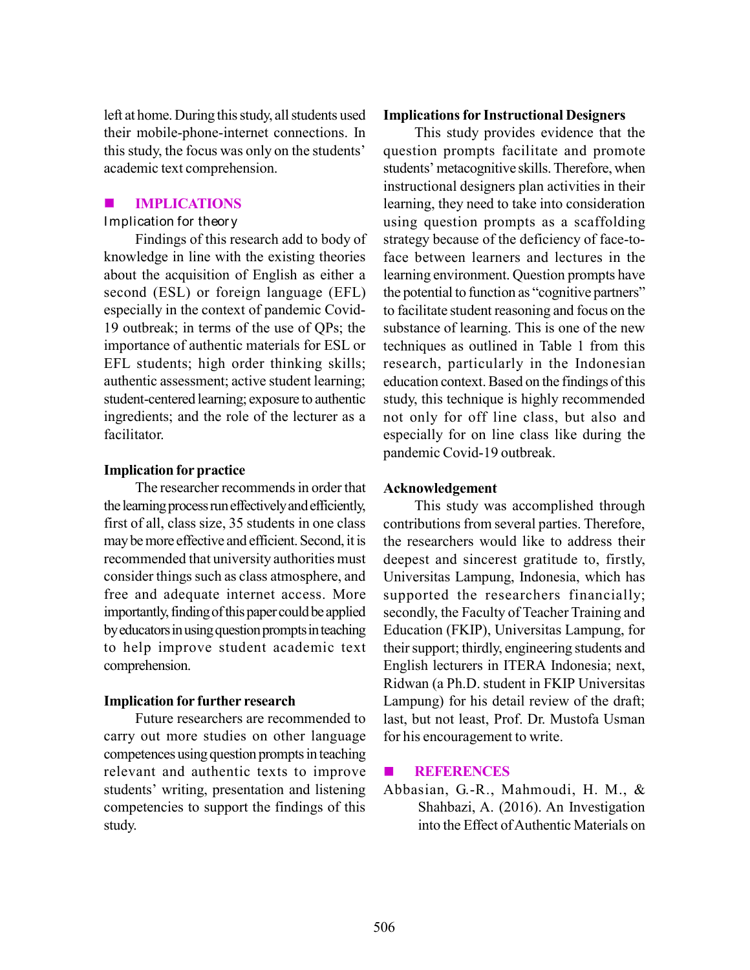left at home. During this study, all students used their mobile-phone-internet connections. In this study, the focus was only on the students' academic text comprehension.

# IMPLICATIONS

Findings of this research add to body of knowledge in line with the existing theories about the acquisition of English as either a second (ESL) or foreign language (EFL) especially in the context of pandemic Covid-19 outbreak; in terms of the use of QPs; the importance of authentic materials for ESL or EFL students; high order thinking skills; authentic assessment; active student learning; student-centered learning; exposure to authentic ingredients; and the role of the lecturer as a facilitator.

## Implication for practice

The researcher recommends in order that the learning process run effectively and efficiently, first of all, class size, 35 students in one class may be more effective and efficient. Second, it is recommended that university authorities must consider things such as class atmosphere, and free and adequate internet access. More importantly, finding of this paper could be applied by educators in using question prompts in teaching to help improve student academic text comprehension.

## Implication for further research

Future researchers are recommended to carry out more studies on other language competences using question prompts in teaching relevant and authentic texts to improve students' writing, presentation and listening competencies to support the findings of this study.

#### Implications for Instructional Designers

This study provides evidence that the question prompts facilitate and promote students' metacognitive skills. Therefore, when instructional designers plan activities in their learning, they need to take into consideration using question prompts as a scaffolding strategy because of the deficiency of face-toface between learners and lectures in the learning environment. Question prompts have the potential to function as "cognitive partners" to facilitate student reasoning and focus on the substance of learning. This is one of the new techniques as outlined in Table 1 from this research, particularly in the Indonesian education context. Based on the findings of this study, this technique is highly recommended not only for off line class, but also and especially for on line class like during the pandemic Covid-19 outbreak. **Example 10** Internal method (EFL) and (EFL) of GEL) of foreign language (EFL) the proteinal manuature of the set of the productions of the studies of the studies and promotion and this study, the focus was only on the st

#### Acknowledgement

This study was accomplished through contributions from several parties. Therefore, the researchers would like to address their deepest and sincerest gratitude to, firstly, Universitas Lampung, Indonesia, which has supported the researchers financially; secondly, the Faculty of Teacher Training and Education (FKIP), Universitas Lampung, for their support; thirdly, engineering students and English lecturers in ITERA Indonesia; next, Ridwan (a Ph.D. student in FKIP Universitas Lampung) for his detail review of the draft; last, but not least, Prof. Dr. Mustofa Usman for his encouragement to write.

#### **ENREGAL REFERENCES**

Abbasian, G.-R., Mahmoudi, H. M., & Shahbazi, A. (2016). An Investigation into the Effect of Authentic Materials on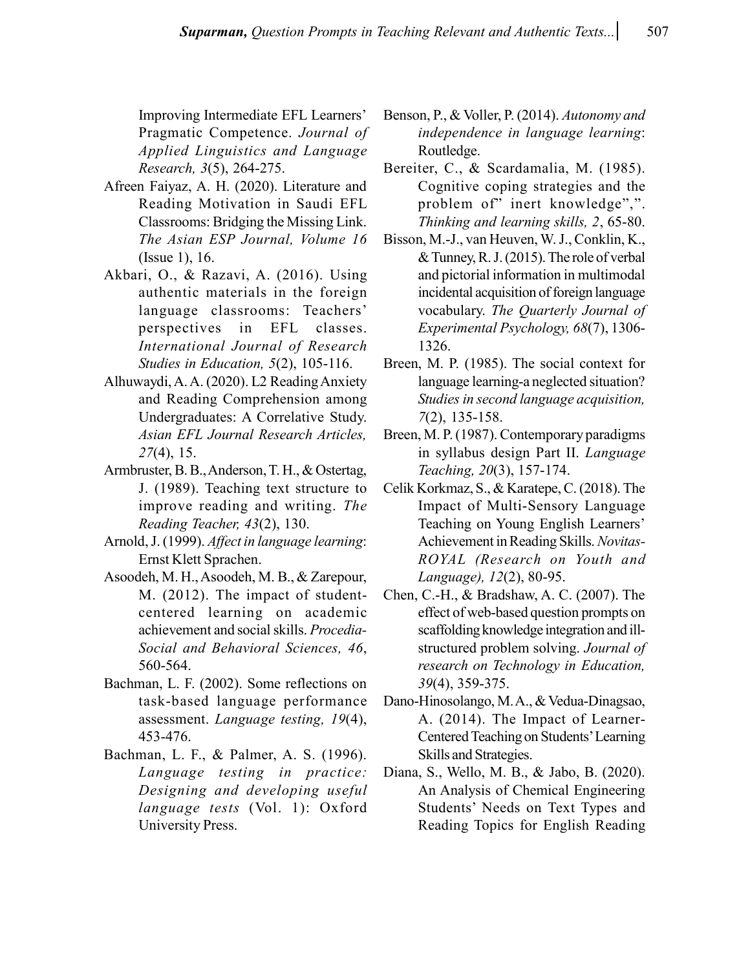Improving Intermediate EFL Learners' Pragmatic Competence. Journal of Applied Linguistics and Language Research, 3(5), 264-275.

- Afreen Faiyaz, A. H. (2020). Literature and Reading Motivation in Saudi EFL Classrooms: Bridging the Missing Link. The Asian ESP Journal, Volume 16 (Issue 1), 16.
- Akbari, O., & Razavi, A. (2016). Using authentic materials in the foreign language classrooms: Teachers' perspectives in EFL classes. International Journal of Research Studies in Education, 5(2), 105-116.
- Alhuwaydi, A. A. (2020). L2 Reading Anxiety and Reading Comprehension among Undergraduates: A Correlative Study. Asian EFL Journal Research Articles, 27(4), 15.
- Armbruster, B. B., Anderson, T. H., & Ostertag, J. (1989). Teaching text structure to improve reading and writing. The Reading Teacher, 43(2), 130.
- Arnold, J. (1999). Affect in language learning: Ernst Klett Sprachen.
- Asoodeh, M. H., Asoodeh, M. B., & Zarepour, M. (2012). The impact of studentcentered learning on academic achievement and social skills. Procedia-Social and Behavioral Sciences, 46, 560-564.
- Bachman, L. F. (2002). Some reflections on task-based language performance assessment. Language testing, 19(4), 453-476.
- Bachman, L. F., & Palmer, A. S. (1996). Language testing in practice: Designing and developing useful language tests (Vol. 1): Oxford University Press.
- Benson, P., & Voller, P. (2014). Autonomy and independence in language learning: Routledge.
- Bereiter, C., & Scardamalia, M. (1985). Cognitive coping strategies and the problem of" inert knowledge",". Thinking and learning skills, 2, 65-80.
- Bisson, M.-J., van Heuven, W. J., Conklin, K., & Tunney, R. J. (2015). The role of verbal and pictorial information in multimodal incidental acquisition of foreign language vocabulary. The Quarterly Journal of Experimental Psychology, 68(7), 1306- 1326.
- Breen, M. P. (1985). The social context for language learning-a neglected situation? Studies in second language acquisition, 7(2), 135-158.
- Breen, M. P. (1987). Contemporary paradigms in syllabus design Part II. Language Teaching, 20(3), 157-174.
- Celik Korkmaz, S., & Karatepe, C. (2018). The Impact of Multi-Sensory Language Teaching on Young English Learners' Achievement in Reading Skills. Novitas-ROYAL (Research on Youth and Language), 12(2), 80-95.
- Chen, C.-H., & Bradshaw, A. C. (2007). The effect of web-based question prompts on scaffolding knowledge integration and illstructured problem solving. Journal of research on Technology in Education, 39(4), 359-375.
- Dano-Hinosolango, M. A., & Vedua-Dinagsao, A. (2014). The Impact of Learner-Centered Teaching on Students' Learning Skills and Strategies.
- Diana, S., Wello, M. B., & Jabo, B. (2020). An Analysis of Chemical Engineering Students' Needs on Text Types and Reading Topics for English Reading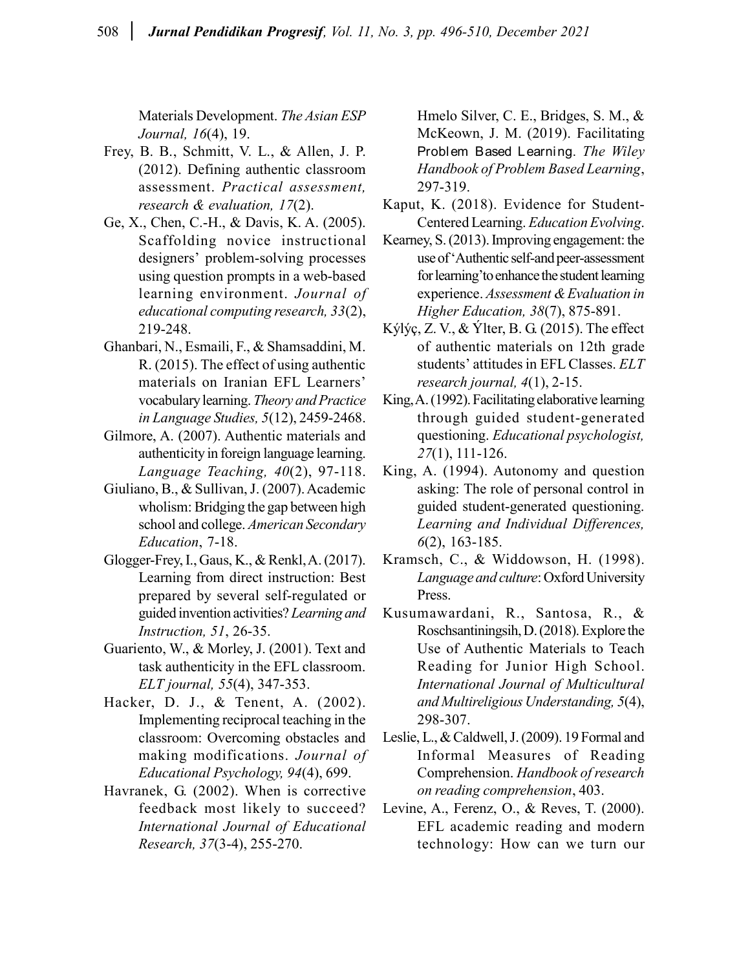Materials Development. The Asian ESP Journal, 16(4), 19.

- Frey, B. B., Schmitt, V. L., & Allen, J. P. (2012). Defining authentic classroom assessment. Practical assessment, research & evaluation, 17(2).
- Ge, X., Chen, C.-H., & Davis, K. A. (2005). Scaffolding novice instructional designers' problem-solving processes using question prompts in a web-based learning environment. Journal of educational computing research, 33(2), 219-248.
- Ghanbari, N., Esmaili, F., & Shamsaddini, M. R. (2015). The effect of using authentic materials on Iranian EFL Learners' vocabulary learning. Theory and Practice in Language Studies, 5(12), 2459-2468.
- Gilmore, A. (2007). Authentic materials and authenticity in foreign language learning. Language Teaching,  $40(2)$ , 97-118.
- Giuliano, B., & Sullivan, J. (2007). Academic wholism: Bridging the gap between high school and college. American Secondary Education, 7-18.
- Glogger-Frey, I., Gaus, K., & Renkl, A. (2017). Learning from direct instruction: Best prepared by several self-regulated or guided invention activities? Learning and Instruction, 51, 26-35.
- Guariento, W., & Morley, J. (2001). Text and task authenticity in the EFL classroom. ELT journal, 55(4), 347-353.
- Hacker, D. J., & Tenent, A. (2002). Implementing reciprocal teaching in the classroom: Overcoming obstacles and making modifications. Journal of Educational Psychology, 94(4), 699.
- Havranek, G. (2002). When is corrective feedback most likely to succeed? International Journal of Educational Research, 37(3-4), 255-270.

Hmelo Silver, C. E., Bridges, S. M., & McKeown, J. M. (2019). Facilitating Problem Based Learning. The Wiley Handbook of Problem Based Learning, 297-319.

- Kaput, K. (2018). Evidence for Student-Centered Learning. Education Evolving.
- Kearney, S. (2013). Improving engagement: the use of 'Authentic self-and peer-assessment for learning'to enhance the student learning experience. Assessment & Evaluation in Higher Education, 38(7), 875-891.
- Kýlýç, Z. V., & Ýlter, B. G. (2015). The effect of authentic materials on 12th grade students' attitudes in EFL Classes. ELT research journal, 4(1), 2-15.
- King, A. (1992). Facilitating elaborative learning through guided student-generated questioning. Educational psychologist, 27(1), 111-126.
- King, A. (1994). Autonomy and question asking: The role of personal control in guided student-generated questioning. Learning and Individual Differences, 6(2), 163-185.
- Kramsch, C., & Widdowson, H. (1998). Language and culture: Oxford University Press.
- Kusumawardani, R., Santosa, R., & Roschsantiningsih, D. (2018). Explore the Use of Authentic Materials to Teach Reading for Junior High School. International Journal of Multicultural and Multireligious Understanding, 5(4), 298-307.
- Leslie, L., & Caldwell, J. (2009). 19 Formal and Informal Measures of Reading Comprehension. Handbook of research on reading comprehension, 403.
- Levine, A., Ferenz, O., & Reves, T. (2000). EFL academic reading and modern technology: How can we turn our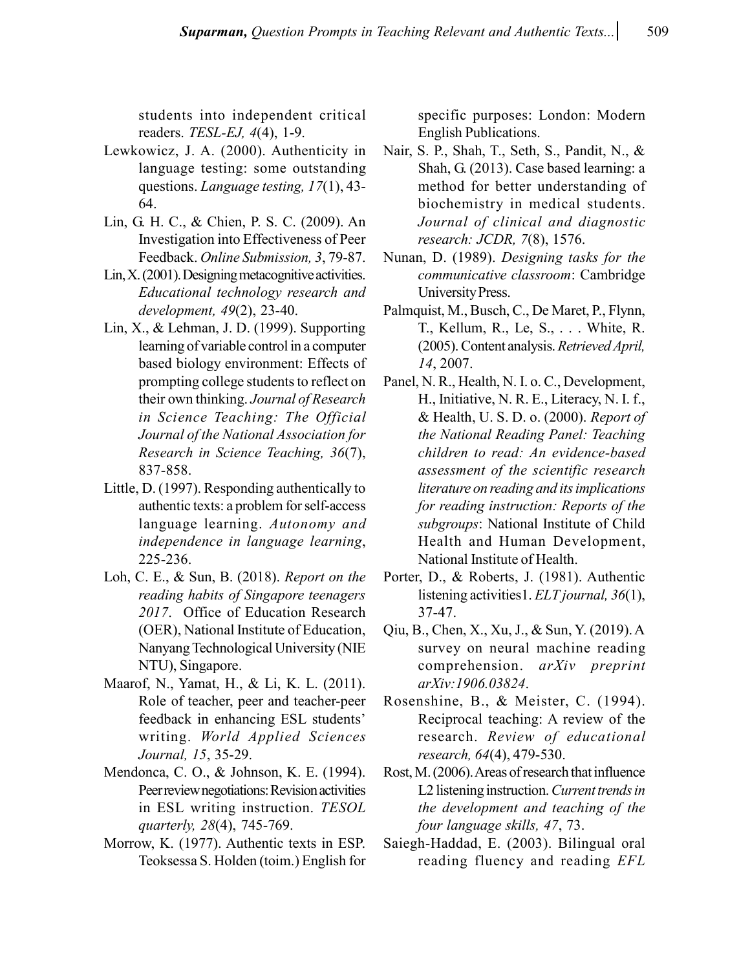students into independent critical readers. TESL-EJ, 4(4), 1-9.

- Lewkowicz, J. A. (2000). Authenticity in language testing: some outstanding questions. Language testing, 17(1), 43- 64.
- Lin, G. H. C., & Chien, P. S. C. (2009). An Investigation into Effectiveness of Peer Feedback. Online Submission, 3, 79-87.
- Lin, X. (2001). Designing metacognitive activities. Educational technology research and development, 49(2), 23-40.
- Lin, X., & Lehman, J. D. (1999). Supporting learning of variable control in a computer based biology environment: Effects of prompting college students to reflect on their own thinking. Journal of Research in Science Teaching: The Official Journal of the National Association for Research in Science Teaching, 36(7), 837-858.
- Little, D. (1997). Responding authentically to authentic texts: a problem for self-access language learning. Autonomy and independence in language learning, 225-236.
- Loh, C. E., & Sun, B. (2018). Report on the reading habits of Singapore teenagers 2017. Office of Education Research (OER), National Institute of Education, Nanyang Technological University (NIE NTU), Singapore.
- Maarof, N., Yamat, H., & Li, K. L. (2011). Role of teacher, peer and teacher-peer feedback in enhancing ESL students' writing. World Applied Sciences Journal, 15, 35-29.
- Mendonca, C. O., & Johnson, K. E. (1994). Peer review negotiations: Revision activities in ESL writing instruction. TESOL quarterly, 28(4), 745-769.
- Morrow, K. (1977). Authentic texts in ESP. Teoksessa S. Holden (toim.) English for

specific purposes: London: Modern English Publications.

- Nair, S. P., Shah, T., Seth, S., Pandit, N., & Shah, G. (2013). Case based learning: a method for better understanding of biochemistry in medical students. Journal of clinical and diagnostic research: JCDR, 7(8), 1576.
- Nunan, D. (1989). Designing tasks for the communicative classroom: Cambridge University Press.
- Palmquist, M., Busch, C., De Maret, P., Flynn, T., Kellum, R., Le, S., . . . White, R. (2005). Content analysis. Retrieved April, 14, 2007.
- Panel, N. R., Health, N. I. o. C., Development, H., Initiative, N. R. E., Literacy, N. I. f., & Health, U. S. D. o. (2000). Report of the National Reading Panel: Teaching children to read: An evidence-based assessment of the scientific research literature on reading and its implications for reading instruction: Reports of the subgroups: National Institute of Child Health and Human Development, National Institute of Health.
- Porter, D., & Roberts, J. (1981). Authentic listening activities1. ELT journal, 36(1), 37-47.
- Qiu, B., Chen, X., Xu, J., & Sun, Y. (2019). A survey on neural machine reading comprehension. arXiv preprint arXiv:1906.03824.
- Rosenshine, B., & Meister, C. (1994). Reciprocal teaching: A review of the research. Review of educational research, 64(4), 479-530.
- Rost, M. (2006). Areas of research that influence L2 listening instruction. Current trends in the development and teaching of the four language skills, 47, 73.
- Saiegh-Haddad, E. (2003). Bilingual oral reading fluency and reading EFL